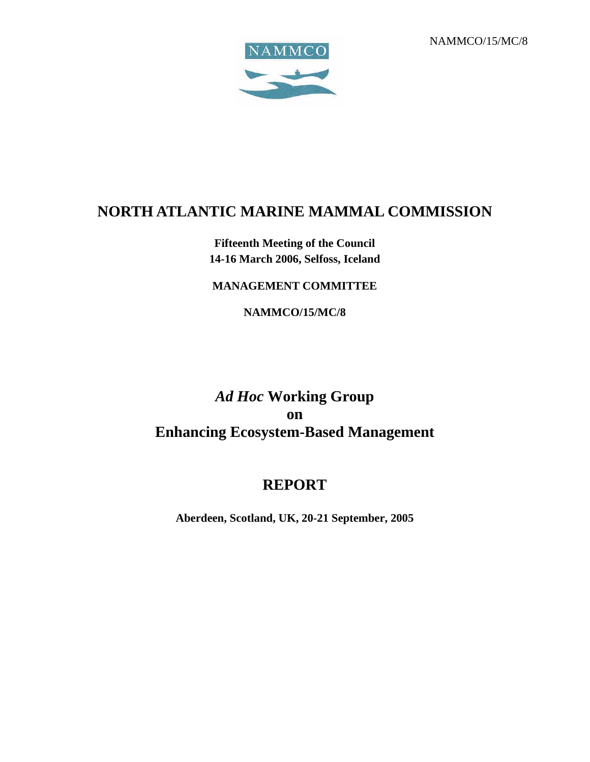NAMMCO/15/MC/8



# **NORTH ATLANTIC MARINE MAMMAL COMMISSION**

# **Fifteenth Meeting of the Council 14-16 March 2006, Selfoss, Iceland**

# **MANAGEMENT COMMITTEE**

**NAMMCO/15/MC/8** 

# *Ad Hoc* **Working Group on Enhancing Ecosystem-Based Management**

# **REPORT**

**Aberdeen, Scotland, UK, 20-21 September, 2005**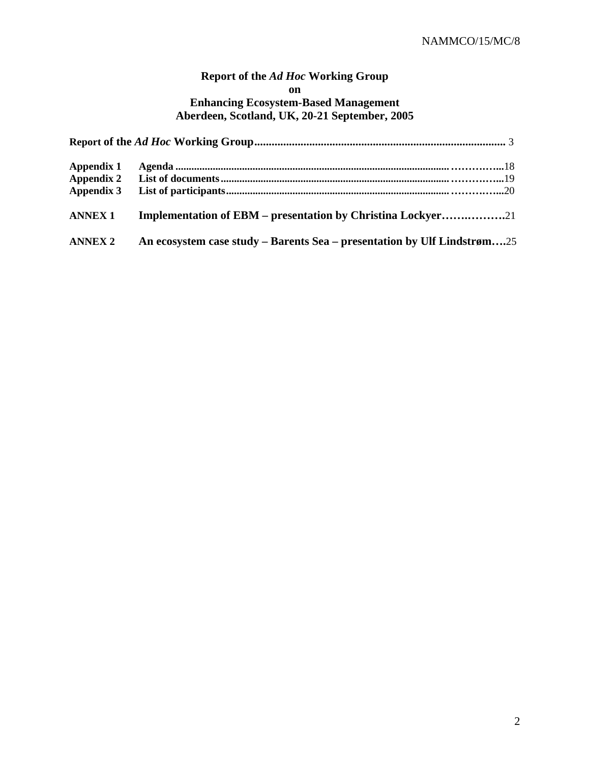# **Report of the** *Ad Hoc* **Working Group on Enhancing Ecosystem-Based Management Aberdeen, Scotland, UK, 20-21 September, 2005**

| Appendix 1        |                                                                         |  |  |  |  |  |
|-------------------|-------------------------------------------------------------------------|--|--|--|--|--|
| <b>Appendix 2</b> |                                                                         |  |  |  |  |  |
| Appendix 3        |                                                                         |  |  |  |  |  |
| <b>ANNEX 1</b>    | Implementation of EBM – presentation by Christina Lockyer21             |  |  |  |  |  |
| <b>ANNEX 2</b>    | An ecosystem case study – Barents Sea – presentation by Ulf Lindstrøm25 |  |  |  |  |  |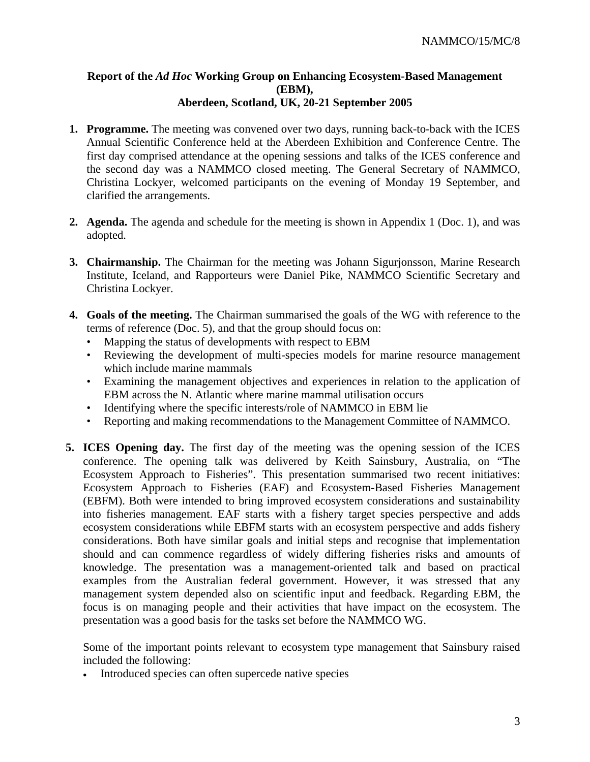#### **Report of the** *Ad Hoc* **Working Group on Enhancing Ecosystem-Based Management (EBM), Aberdeen, Scotland, UK, 20-21 September 2005**

- **1. Programme.** The meeting was convened over two days, running back-to-back with the ICES Annual Scientific Conference held at the Aberdeen Exhibition and Conference Centre. The first day comprised attendance at the opening sessions and talks of the ICES conference and the second day was a NAMMCO closed meeting. The General Secretary of NAMMCO, Christina Lockyer, welcomed participants on the evening of Monday 19 September, and clarified the arrangements.
- **2. Agenda.** The agenda and schedule for the meeting is shown in Appendix 1 (Doc. 1), and was adopted.
- **3. Chairmanship.** The Chairman for the meeting was Johann Sigurjonsson, Marine Research Institute, Iceland, and Rapporteurs were Daniel Pike, NAMMCO Scientific Secretary and Christina Lockyer.
- **4. Goals of the meeting.** The Chairman summarised the goals of the WG with reference to the terms of reference (Doc. 5), and that the group should focus on:
	- Mapping the status of developments with respect to EBM
	- Reviewing the development of multi-species models for marine resource management which include marine mammals
	- Examining the management objectives and experiences in relation to the application of EBM across the N. Atlantic where marine mammal utilisation occurs
	- Identifying where the specific interests/role of NAMMCO in EBM lie
	- Reporting and making recommendations to the Management Committee of NAMMCO.
- **5. ICES Opening day.** The first day of the meeting was the opening session of the ICES conference. The opening talk was delivered by Keith Sainsbury, Australia, on "The Ecosystem Approach to Fisheries". This presentation summarised two recent initiatives: Ecosystem Approach to Fisheries (EAF) and Ecosystem-Based Fisheries Management (EBFM). Both were intended to bring improved ecosystem considerations and sustainability into fisheries management. EAF starts with a fishery target species perspective and adds ecosystem considerations while EBFM starts with an ecosystem perspective and adds fishery considerations. Both have similar goals and initial steps and recognise that implementation should and can commence regardless of widely differing fisheries risks and amounts of knowledge. The presentation was a management-oriented talk and based on practical examples from the Australian federal government. However, it was stressed that any management system depended also on scientific input and feedback. Regarding EBM, the focus is on managing people and their activities that have impact on the ecosystem. The presentation was a good basis for the tasks set before the NAMMCO WG.

Some of the important points relevant to ecosystem type management that Sainsbury raised included the following:

• Introduced species can often supercede native species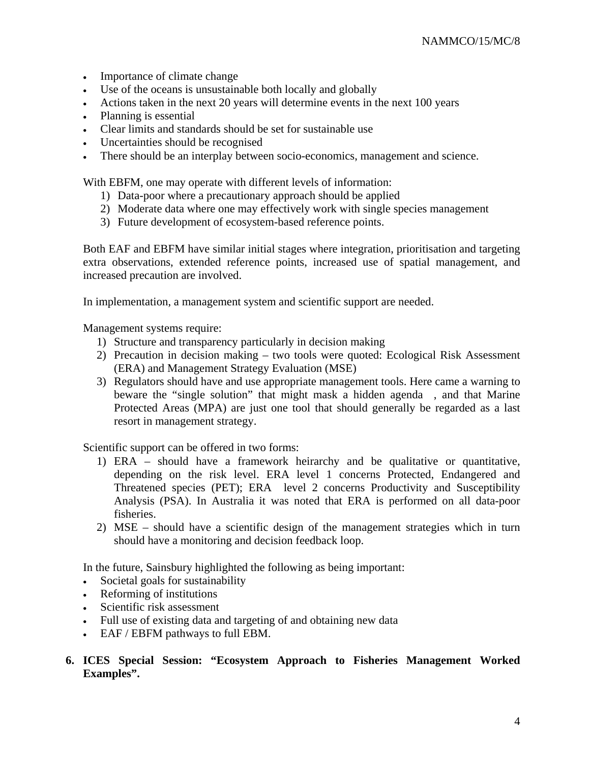- Importance of climate change
- Use of the oceans is unsustainable both locally and globally
- Actions taken in the next 20 years will determine events in the next 100 years
- Planning is essential
- Clear limits and standards should be set for sustainable use
- Uncertainties should be recognised
- There should be an interplay between socio-economics, management and science.

With EBFM, one may operate with different levels of information:

- 1) Data-poor where a precautionary approach should be applied
- 2) Moderate data where one may effectively work with single species management
- 3) Future development of ecosystem-based reference points.

Both EAF and EBFM have similar initial stages where integration, prioritisation and targeting extra observations, extended reference points, increased use of spatial management, and increased precaution are involved.

In implementation, a management system and scientific support are needed.

Management systems require:

- 1) Structure and transparency particularly in decision making
- 2) Precaution in decision making two tools were quoted: Ecological Risk Assessment (ERA) and Management Strategy Evaluation (MSE)
- 3) Regulators should have and use appropriate management tools. Here came a warning to beware the "single solution" that might mask a hidden agenda , and that Marine Protected Areas (MPA) are just one tool that should generally be regarded as a last resort in management strategy.

Scientific support can be offered in two forms:

- 1) ERA should have a framework heirarchy and be qualitative or quantitative, depending on the risk level. ERA level 1 concerns Protected, Endangered and Threatened species (PET); ERA level 2 concerns Productivity and Susceptibility Analysis (PSA). In Australia it was noted that ERA is performed on all data-poor fisheries.
- 2) MSE should have a scientific design of the management strategies which in turn should have a monitoring and decision feedback loop.

In the future, Sainsbury highlighted the following as being important:

- Societal goals for sustainability
- Reforming of institutions
- Scientific risk assessment
- Full use of existing data and targeting of and obtaining new data
- EAF / EBFM pathways to full EBM.
- 6. ICES Special Session: "Ecosystem Approach to Fisheries Management Worked **Examples".**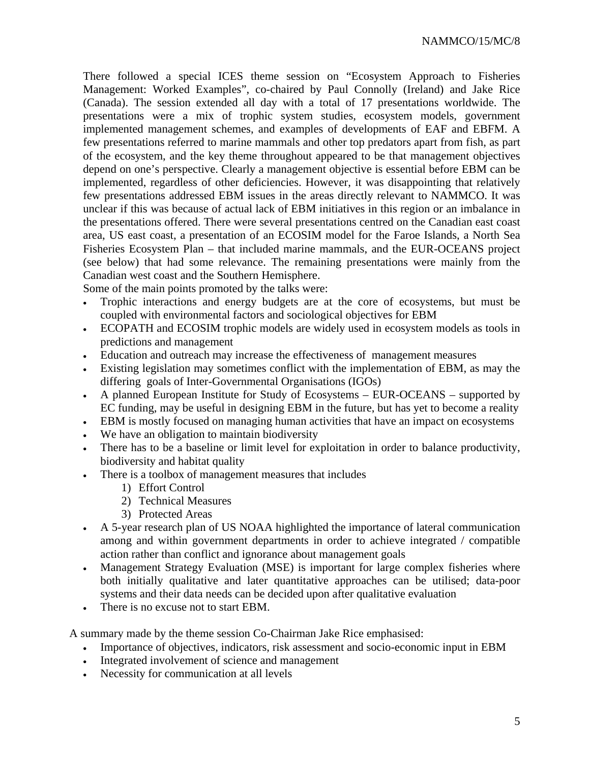There followed a special ICES theme session on "Ecosystem Approach to Fisheries Management: Worked Examples", co-chaired by Paul Connolly (Ireland) and Jake Rice (Canada). The session extended all day with a total of 17 presentations worldwide. The presentations were a mix of trophic system studies, ecosystem models, government implemented management schemes, and examples of developments of EAF and EBFM. A few presentations referred to marine mammals and other top predators apart from fish, as part of the ecosystem, and the key theme throughout appeared to be that management objectives depend on one's perspective. Clearly a management objective is essential before EBM can be implemented, regardless of other deficiencies. However, it was disappointing that relatively few presentations addressed EBM issues in the areas directly relevant to NAMMCO. It was unclear if this was because of actual lack of EBM initiatives in this region or an imbalance in the presentations offered. There were several presentations centred on the Canadian east coast area, US east coast, a presentation of an ECOSIM model for the Faroe Islands, a North Sea Fisheries Ecosystem Plan – that included marine mammals, and the EUR-OCEANS project (see below) that had some relevance. The remaining presentations were mainly from the Canadian west coast and the Southern Hemisphere.

Some of the main points promoted by the talks were:

- Trophic interactions and energy budgets are at the core of ecosystems, but must be coupled with environmental factors and sociological objectives for EBM
- ECOPATH and ECOSIM trophic models are widely used in ecosystem models as tools in predictions and management
- Education and outreach may increase the effectiveness of management measures
- Existing legislation may sometimes conflict with the implementation of EBM, as may the differing goals of Inter-Governmental Organisations (IGOs)
- A planned European Institute for Study of Ecosystems EUR-OCEANS supported by EC funding, may be useful in designing EBM in the future, but has yet to become a reality
- EBM is mostly focused on managing human activities that have an impact on ecosystems
- We have an obligation to maintain biodiversity
- There has to be a baseline or limit level for exploitation in order to balance productivity, biodiversity and habitat quality
- There is a toolbox of management measures that includes
	- 1) Effort Control
	- 2) Technical Measures
	- 3) Protected Areas
- A 5-year research plan of US NOAA highlighted the importance of lateral communication among and within government departments in order to achieve integrated / compatible action rather than conflict and ignorance about management goals
- Management Strategy Evaluation (MSE) is important for large complex fisheries where both initially qualitative and later quantitative approaches can be utilised; data-poor systems and their data needs can be decided upon after qualitative evaluation
- There is no excuse not to start EBM.

A summary made by the theme session Co-Chairman Jake Rice emphasised:

- Importance of objectives, indicators, risk assessment and socio-economic input in EBM
- Integrated involvement of science and management
- Necessity for communication at all levels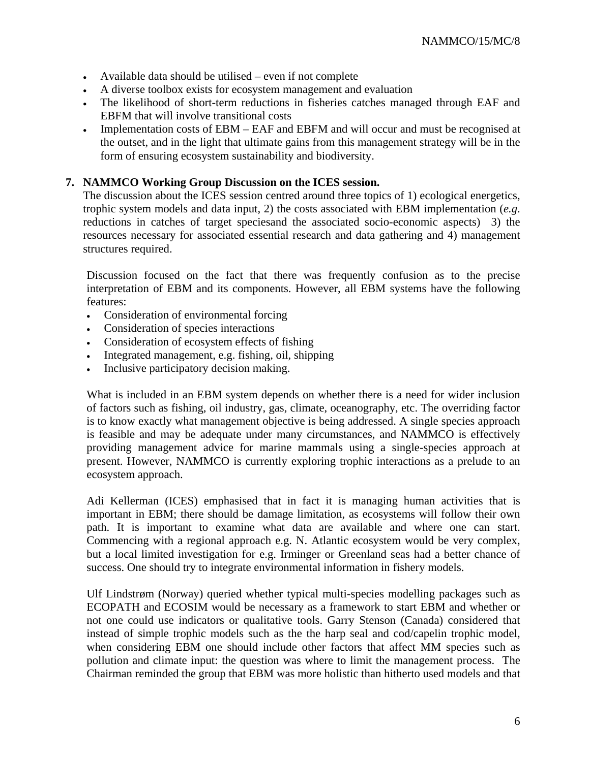- Available data should be utilised even if not complete
- A diverse toolbox exists for ecosystem management and evaluation
- The likelihood of short-term reductions in fisheries catches managed through EAF and EBFM that will involve transitional costs
- Implementation costs of EBM EAF and EBFM and will occur and must be recognised at the outset, and in the light that ultimate gains from this management strategy will be in the form of ensuring ecosystem sustainability and biodiversity.

## **7. NAMMCO Working Group Discussion on the ICES session.**

The discussion about the ICES session centred around three topics of 1) ecological energetics, trophic system models and data input, 2) the costs associated with EBM implementation (*e.g*. reductions in catches of target speciesand the associated socio-economic aspects) 3) the resources necessary for associated essential research and data gathering and 4) management structures required.

Discussion focused on the fact that there was frequently confusion as to the precise interpretation of EBM and its components. However, all EBM systems have the following features:

- Consideration of environmental forcing
- Consideration of species interactions
- Consideration of ecosystem effects of fishing
- Integrated management, e.g. fishing, oil, shipping
- Inclusive participatory decision making.

What is included in an EBM system depends on whether there is a need for wider inclusion of factors such as fishing, oil industry, gas, climate, oceanography, etc. The overriding factor is to know exactly what management objective is being addressed. A single species approach is feasible and may be adequate under many circumstances, and NAMMCO is effectively providing management advice for marine mammals using a single-species approach at present. However, NAMMCO is currently exploring trophic interactions as a prelude to an ecosystem approach.

Adi Kellerman (ICES) emphasised that in fact it is managing human activities that is important in EBM; there should be damage limitation, as ecosystems will follow their own path. It is important to examine what data are available and where one can start. Commencing with a regional approach e.g. N. Atlantic ecosystem would be very complex, but a local limited investigation for e.g. Irminger or Greenland seas had a better chance of success. One should try to integrate environmental information in fishery models.

Ulf Lindstrøm (Norway) queried whether typical multi-species modelling packages such as ECOPATH and ECOSIM would be necessary as a framework to start EBM and whether or not one could use indicators or qualitative tools. Garry Stenson (Canada) considered that instead of simple trophic models such as the the harp seal and cod/capelin trophic model, when considering EBM one should include other factors that affect MM species such as pollution and climate input: the question was where to limit the management process. The Chairman reminded the group that EBM was more holistic than hitherto used models and that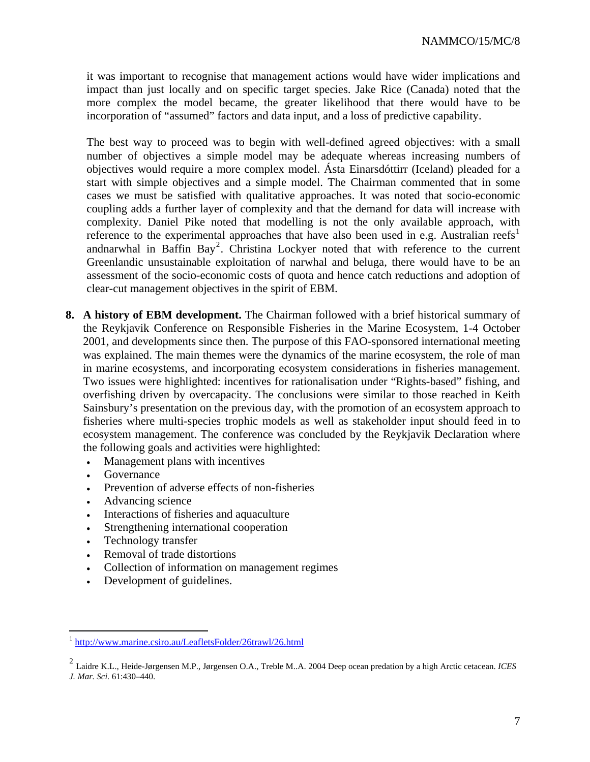it was important to recognise that management actions would have wider implications and impact than just locally and on specific target species. Jake Rice (Canada) noted that the more complex the model became, the greater likelihood that there would have to be incorporation of "assumed" factors and data input, and a loss of predictive capability.

The best way to proceed was to begin with well-defined agreed objectives: with a small number of objectives a simple model may be adequate whereas increasing numbers of objectives would require a more complex model. Ásta Einarsdóttirr (Iceland) pleaded for a start with simple objectives and a simple model. The Chairman commented that in some cases we must be satisfied with qualitative approaches. It was noted that socio-economic coupling adds a further layer of complexity and that the demand for data will increase with complexity. Daniel Pike noted that modelling is not the only available approach, with reference to the experimental approaches that have also been used in e.g. Australian reefs<sup>[1](#page-6-0)</sup> andnarwhal in Baffin Bay<sup>[2](#page-6-1)</sup>. Christina Lockyer noted that with reference to the current Greenlandic unsustainable exploitation of narwhal and beluga, there would have to be an assessment of the socio-economic costs of quota and hence catch reductions and adoption of clear-cut management objectives in the spirit of EBM.

- **8. A history of EBM development.** The Chairman followed with a brief historical summary of the Reykjavik Conference on Responsible Fisheries in the Marine Ecosystem, 1-4 October 2001, and developments since then. The purpose of this FAO-sponsored international meeting was explained. The main themes were the dynamics of the marine ecosystem, the role of man in marine ecosystems, and incorporating ecosystem considerations in fisheries management. Two issues were highlighted: incentives for rationalisation under "Rights-based" fishing, and overfishing driven by overcapacity. The conclusions were similar to those reached in Keith Sainsbury's presentation on the previous day, with the promotion of an ecosystem approach to fisheries where multi-species trophic models as well as stakeholder input should feed in to ecosystem management. The conference was concluded by the Reykjavik Declaration where the following goals and activities were highlighted:
	- Management plans with incentives
	- Governance

 $\overline{a}$ 

- Prevention of adverse effects of non-fisheries
- Advancing science
- Interactions of fisheries and aquaculture
- Strengthening international cooperation
- Technology transfer
- Removal of trade distortions
- Collection of information on management regimes
- Development of guidelines.

<span id="page-6-0"></span><sup>&</sup>lt;sup>1</sup> <http://www.marine.csiro.au/LeafletsFolder/26trawl/26.html>

<span id="page-6-1"></span><sup>2</sup> Laidre K.L., Heide-Jørgensen M.P., Jørgensen O.A., Treble M..A. 2004 Deep ocean predation by a high Arctic cetacean. *ICES J. Mar. Sci.* 61:430–440.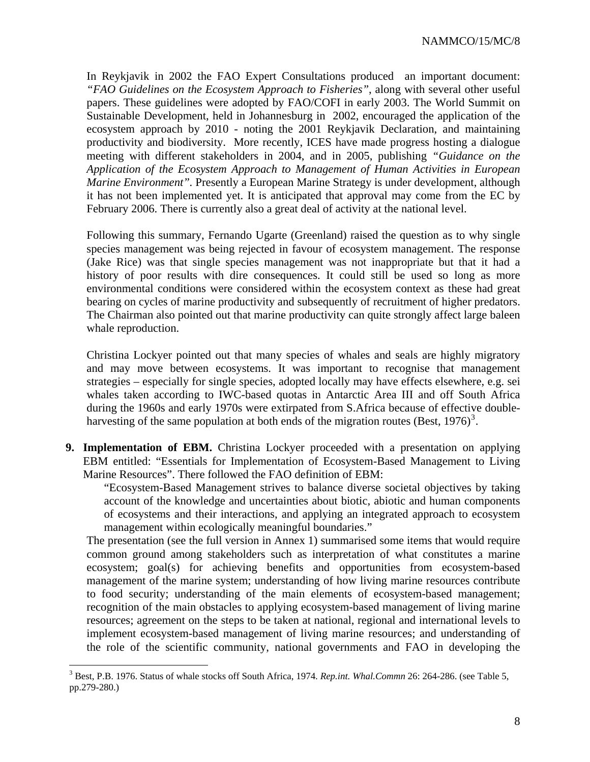In Reykjavik in 2002 the FAO Expert Consultations produced an important document: *"FAO Guidelines on the Ecosystem Approach to Fisheries"*, along with several other useful papers. These guidelines were adopted by FAO/COFI in early 2003. The World Summit on Sustainable Development, held in Johannesburg in 2002, encouraged the application of the ecosystem approach by 2010 - noting the 2001 Reykjavik Declaration, and maintaining productivity and biodiversity. More recently, ICES have made progress hosting a dialogue meeting with different stakeholders in 2004, and in 2005, publishing *"Guidance on the Application of the Ecosystem Approach to Management of Human Activities in European Marine Environment"*. Presently a European Marine Strategy is under development, although it has not been implemented yet. It is anticipated that approval may come from the EC by February 2006. There is currently also a great deal of activity at the national level.

Following this summary, Fernando Ugarte (Greenland) raised the question as to why single species management was being rejected in favour of ecosystem management. The response (Jake Rice) was that single species management was not inappropriate but that it had a history of poor results with dire consequences. It could still be used so long as more environmental conditions were considered within the ecosystem context as these had great bearing on cycles of marine productivity and subsequently of recruitment of higher predators. The Chairman also pointed out that marine productivity can quite strongly affect large baleen whale reproduction.

Christina Lockyer pointed out that many species of whales and seals are highly migratory and may move between ecosystems. It was important to recognise that management strategies – especially for single species, adopted locally may have effects elsewhere, e.g. sei whales taken according to IWC-based quotas in Antarctic Area III and off South Africa during the 1960s and early 1970s were extirpated from S.Africa because of effective double-harvesting of the same population at both ends of the migration routes (Best, 1976)<sup>[3](#page-7-0)</sup>.

**9. Implementation of EBM.** Christina Lockyer proceeded with a presentation on applying EBM entitled: "Essentials for Implementation of Ecosystem-Based Management to Living Marine Resources". There followed the FAO definition of EBM:

"Ecosystem-Based Management strives to balance diverse societal objectives by taking account of the knowledge and uncertainties about biotic, abiotic and human components of ecosystems and their interactions, and applying an integrated approach to ecosystem management within ecologically meaningful boundaries."

The presentation (see the full version in Annex 1) summarised some items that would require common ground among stakeholders such as interpretation of what constitutes a marine ecosystem; goal(s) for achieving benefits and opportunities from ecosystem-based management of the marine system; understanding of how living marine resources contribute to food security; understanding of the main elements of ecosystem-based management; recognition of the main obstacles to applying ecosystem-based management of living marine resources; agreement on the steps to be taken at national, regional and international levels to implement ecosystem-based management of living marine resources; and understanding of the role of the scientific community, national governments and FAO in developing the

<span id="page-7-0"></span> 3 Best, P.B. 1976. Status of whale stocks off South Africa, 1974. *Rep.int. Whal.Commn* 26: 264-286. (see Table 5, pp.279-280.)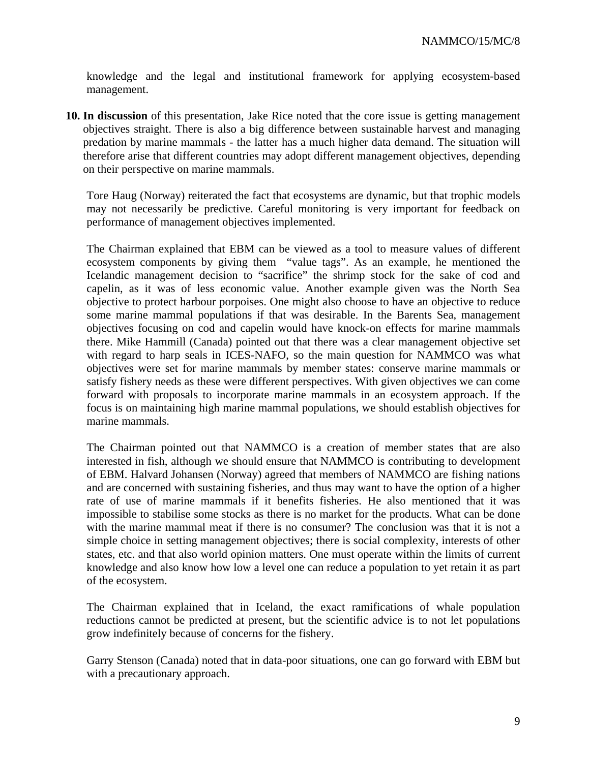knowledge and the legal and institutional framework for applying ecosystem-based management.

**10. In discussion** of this presentation, Jake Rice noted that the core issue is getting management objectives straight. There is also a big difference between sustainable harvest and managing predation by marine mammals - the latter has a much higher data demand. The situation will therefore arise that different countries may adopt different management objectives, depending on their perspective on marine mammals.

Tore Haug (Norway) reiterated the fact that ecosystems are dynamic, but that trophic models may not necessarily be predictive. Careful monitoring is very important for feedback on performance of management objectives implemented.

The Chairman explained that EBM can be viewed as a tool to measure values of different ecosystem components by giving them "value tags". As an example, he mentioned the Icelandic management decision to "sacrifice" the shrimp stock for the sake of cod and capelin, as it was of less economic value. Another example given was the North Sea objective to protect harbour porpoises. One might also choose to have an objective to reduce some marine mammal populations if that was desirable. In the Barents Sea, management objectives focusing on cod and capelin would have knock-on effects for marine mammals there. Mike Hammill (Canada) pointed out that there was a clear management objective set with regard to harp seals in ICES-NAFO, so the main question for NAMMCO was what objectives were set for marine mammals by member states: conserve marine mammals or satisfy fishery needs as these were different perspectives. With given objectives we can come forward with proposals to incorporate marine mammals in an ecosystem approach. If the focus is on maintaining high marine mammal populations, we should establish objectives for marine mammals.

The Chairman pointed out that NAMMCO is a creation of member states that are also interested in fish, although we should ensure that NAMMCO is contributing to development of EBM. Halvard Johansen (Norway) agreed that members of NAMMCO are fishing nations and are concerned with sustaining fisheries, and thus may want to have the option of a higher rate of use of marine mammals if it benefits fisheries. He also mentioned that it was impossible to stabilise some stocks as there is no market for the products. What can be done with the marine mammal meat if there is no consumer? The conclusion was that it is not a simple choice in setting management objectives; there is social complexity, interests of other states, etc. and that also world opinion matters. One must operate within the limits of current knowledge and also know how low a level one can reduce a population to yet retain it as part of the ecosystem.

The Chairman explained that in Iceland, the exact ramifications of whale population reductions cannot be predicted at present, but the scientific advice is to not let populations grow indefinitely because of concerns for the fishery.

Garry Stenson (Canada) noted that in data-poor situations, one can go forward with EBM but with a precautionary approach.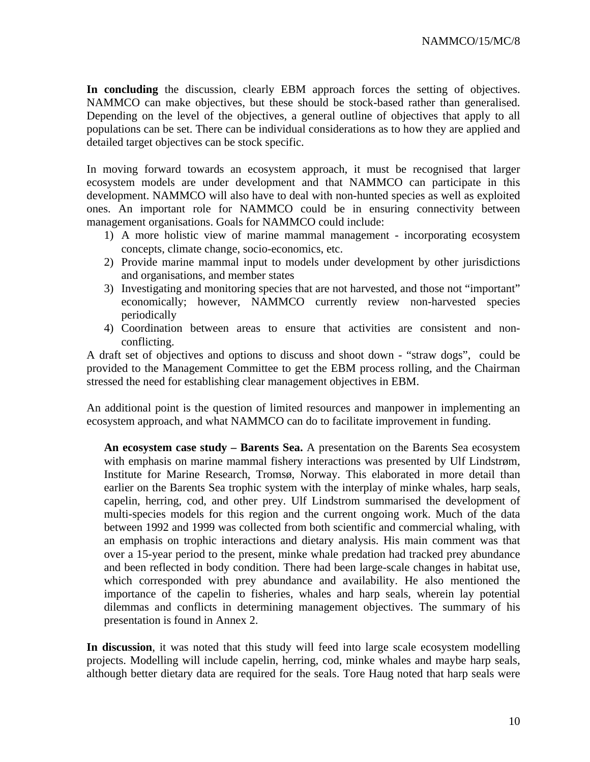**In concluding** the discussion, clearly EBM approach forces the setting of objectives. NAMMCO can make objectives, but these should be stock-based rather than generalised. Depending on the level of the objectives, a general outline of objectives that apply to all populations can be set. There can be individual considerations as to how they are applied and detailed target objectives can be stock specific.

In moving forward towards an ecosystem approach, it must be recognised that larger ecosystem models are under development and that NAMMCO can participate in this development. NAMMCO will also have to deal with non-hunted species as well as exploited ones. An important role for NAMMCO could be in ensuring connectivity between management organisations. Goals for NAMMCO could include:

- 1) A more holistic view of marine mammal management incorporating ecosystem concepts, climate change, socio-economics, etc.
- 2) Provide marine mammal input to models under development by other jurisdictions and organisations, and member states
- 3) Investigating and monitoring species that are not harvested, and those not "important" economically; however, NAMMCO currently review non-harvested species periodically
- 4) Coordination between areas to ensure that activities are consistent and nonconflicting.

A draft set of objectives and options to discuss and shoot down - "straw dogs", could be provided to the Management Committee to get the EBM process rolling, and the Chairman stressed the need for establishing clear management objectives in EBM.

An additional point is the question of limited resources and manpower in implementing an ecosystem approach, and what NAMMCO can do to facilitate improvement in funding.

**An ecosystem case study – Barents Sea.** A presentation on the Barents Sea ecosystem with emphasis on marine mammal fishery interactions was presented by Ulf Lindstrøm, Institute for Marine Research, Tromsø, Norway. This elaborated in more detail than earlier on the Barents Sea trophic system with the interplay of minke whales, harp seals, capelin, herring, cod, and other prey. Ulf Lindstrom summarised the development of multi-species models for this region and the current ongoing work. Much of the data between 1992 and 1999 was collected from both scientific and commercial whaling, with an emphasis on trophic interactions and dietary analysis. His main comment was that over a 15-year period to the present, minke whale predation had tracked prey abundance and been reflected in body condition. There had been large-scale changes in habitat use, which corresponded with prey abundance and availability. He also mentioned the importance of the capelin to fisheries, whales and harp seals, wherein lay potential dilemmas and conflicts in determining management objectives. The summary of his presentation is found in Annex 2.

**In discussion**, it was noted that this study will feed into large scale ecosystem modelling projects. Modelling will include capelin, herring, cod, minke whales and maybe harp seals, although better dietary data are required for the seals. Tore Haug noted that harp seals were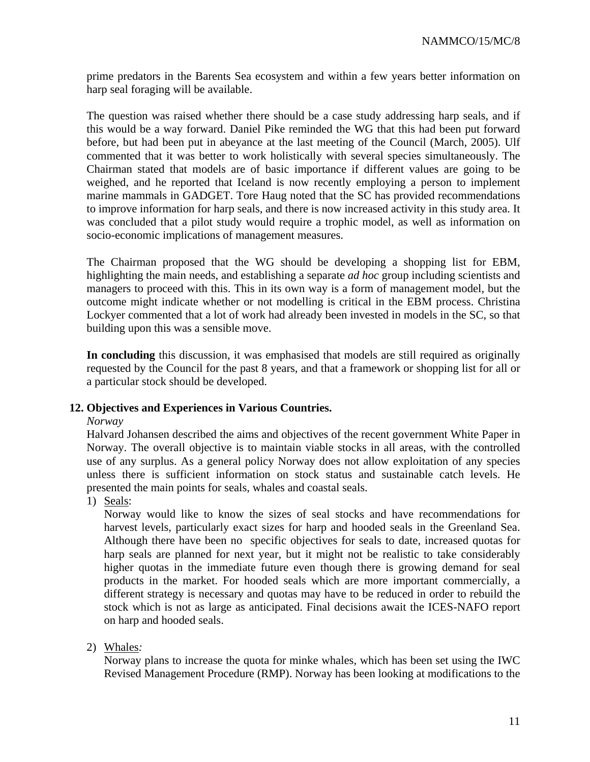prime predators in the Barents Sea ecosystem and within a few years better information on harp seal foraging will be available.

The question was raised whether there should be a case study addressing harp seals, and if this would be a way forward. Daniel Pike reminded the WG that this had been put forward before, but had been put in abeyance at the last meeting of the Council (March, 2005). Ulf commented that it was better to work holistically with several species simultaneously. The Chairman stated that models are of basic importance if different values are going to be weighed, and he reported that Iceland is now recently employing a person to implement marine mammals in GADGET. Tore Haug noted that the SC has provided recommendations to improve information for harp seals, and there is now increased activity in this study area. It was concluded that a pilot study would require a trophic model, as well as information on socio-economic implications of management measures.

The Chairman proposed that the WG should be developing a shopping list for EBM, highlighting the main needs, and establishing a separate *ad hoc* group including scientists and managers to proceed with this. This in its own way is a form of management model, but the outcome might indicate whether or not modelling is critical in the EBM process. Christina Lockyer commented that a lot of work had already been invested in models in the SC, so that building upon this was a sensible move.

**In concluding** this discussion, it was emphasised that models are still required as originally requested by the Council for the past 8 years, and that a framework or shopping list for all or a particular stock should be developed.

#### **12. Objectives and Experiences in Various Countries.**

#### *Norway*

Halvard Johansen described the aims and objectives of the recent government White Paper in Norway. The overall objective is to maintain viable stocks in all areas, with the controlled use of any surplus. As a general policy Norway does not allow exploitation of any species unless there is sufficient information on stock status and sustainable catch levels. He presented the main points for seals, whales and coastal seals.

1) Seals:

Norway would like to know the sizes of seal stocks and have recommendations for harvest levels, particularly exact sizes for harp and hooded seals in the Greenland Sea. Although there have been no specific objectives for seals to date, increased quotas for harp seals are planned for next year, but it might not be realistic to take considerably higher quotas in the immediate future even though there is growing demand for seal products in the market. For hooded seals which are more important commercially, a different strategy is necessary and quotas may have to be reduced in order to rebuild the stock which is not as large as anticipated. Final decisions await the ICES-NAFO report on harp and hooded seals.

#### 2) Whales*:*

Norway plans to increase the quota for minke whales, which has been set using the IWC Revised Management Procedure (RMP). Norway has been looking at modifications to the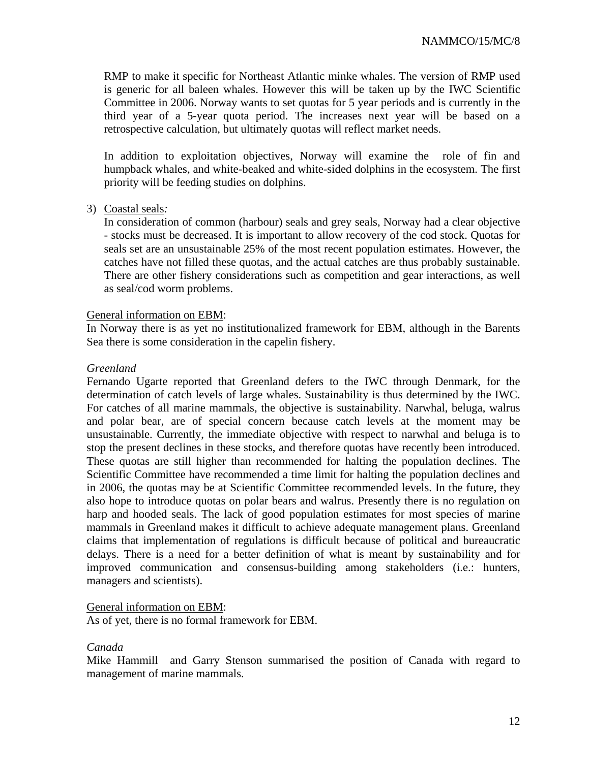RMP to make it specific for Northeast Atlantic minke whales. The version of RMP used is generic for all baleen whales. However this will be taken up by the IWC Scientific Committee in 2006. Norway wants to set quotas for 5 year periods and is currently in the third year of a 5-year quota period. The increases next year will be based on a retrospective calculation, but ultimately quotas will reflect market needs.

In addition to exploitation objectives, Norway will examine the role of fin and humpback whales, and white-beaked and white-sided dolphins in the ecosystem. The first priority will be feeding studies on dolphins.

#### 3) Coastal seals*:*

In consideration of common (harbour) seals and grey seals, Norway had a clear objective - stocks must be decreased. It is important to allow recovery of the cod stock. Quotas for seals set are an unsustainable 25% of the most recent population estimates. However, the catches have not filled these quotas, and the actual catches are thus probably sustainable. There are other fishery considerations such as competition and gear interactions, as well as seal/cod worm problems.

#### General information on EBM:

In Norway there is as yet no institutionalized framework for EBM, although in the Barents Sea there is some consideration in the capelin fishery.

#### *Greenland*

Fernando Ugarte reported that Greenland defers to the IWC through Denmark, for the determination of catch levels of large whales. Sustainability is thus determined by the IWC. For catches of all marine mammals, the objective is sustainability. Narwhal, beluga, walrus and polar bear, are of special concern because catch levels at the moment may be unsustainable. Currently, the immediate objective with respect to narwhal and beluga is to stop the present declines in these stocks, and therefore quotas have recently been introduced. These quotas are still higher than recommended for halting the population declines. The Scientific Committee have recommended a time limit for halting the population declines and in 2006, the quotas may be at Scientific Committee recommended levels. In the future, they also hope to introduce quotas on polar bears and walrus. Presently there is no regulation on harp and hooded seals. The lack of good population estimates for most species of marine mammals in Greenland makes it difficult to achieve adequate management plans. Greenland claims that implementation of regulations is difficult because of political and bureaucratic delays. There is a need for a better definition of what is meant by sustainability and for improved communication and consensus-building among stakeholders (i.e.: hunters, managers and scientists).

#### General information on EBM:

As of yet, there is no formal framework for EBM.

#### *Canada*

Mike Hammill and Garry Stenson summarised the position of Canada with regard to management of marine mammals.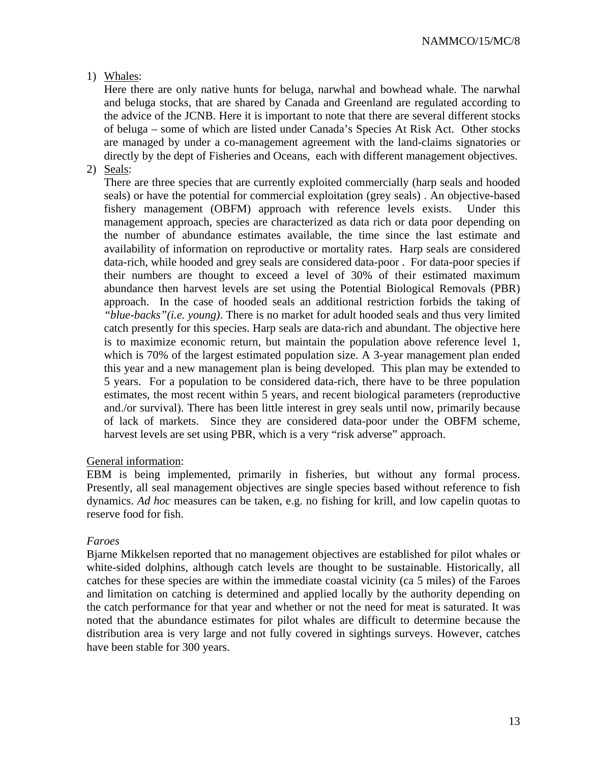# 1) Whales:

Here there are only native hunts for beluga, narwhal and bowhead whale. The narwhal and beluga stocks, that are shared by Canada and Greenland are regulated according to the advice of the JCNB. Here it is important to note that there are several different stocks of beluga – some of which are listed under Canada's Species At Risk Act. Other stocks are managed by under a co-management agreement with the land-claims signatories or directly by the dept of Fisheries and Oceans, each with different management objectives.

2) Seals:

There are three species that are currently exploited commercially (harp seals and hooded seals) or have the potential for commercial exploitation (grey seals) . An objective-based fishery management (OBFM) approach with reference levels exists. Under this management approach, species are characterized as data rich or data poor depending on the number of abundance estimates available, the time since the last estimate and availability of information on reproductive or mortality rates. Harp seals are considered data-rich, while hooded and grey seals are considered data-poor . For data-poor species if their numbers are thought to exceed a level of 30% of their estimated maximum abundance then harvest levels are set using the Potential Biological Removals (PBR) approach. In the case of hooded seals an additional restriction forbids the taking of *"blue-backs"(i.e. young)*. There is no market for adult hooded seals and thus very limited catch presently for this species. Harp seals are data-rich and abundant. The objective here is to maximize economic return, but maintain the population above reference level 1, which is 70% of the largest estimated population size. A 3-year management plan ended this year and a new management plan is being developed. This plan may be extended to 5 years. For a population to be considered data-rich, there have to be three population estimates, the most recent within 5 years, and recent biological parameters (reproductive and./or survival). There has been little interest in grey seals until now, primarily because of lack of markets. Since they are considered data-poor under the OBFM scheme, harvest levels are set using PBR, which is a very "risk adverse" approach.

#### General information:

EBM is being implemented, primarily in fisheries, but without any formal process. Presently, all seal management objectives are single species based without reference to fish dynamics. *Ad hoc* measures can be taken, e.g. no fishing for krill, and low capelin quotas to reserve food for fish.

#### *Faroes*

Bjarne Mikkelsen reported that no management objectives are established for pilot whales or white-sided dolphins, although catch levels are thought to be sustainable. Historically, all catches for these species are within the immediate coastal vicinity (ca 5 miles) of the Faroes and limitation on catching is determined and applied locally by the authority depending on the catch performance for that year and whether or not the need for meat is saturated. It was noted that the abundance estimates for pilot whales are difficult to determine because the distribution area is very large and not fully covered in sightings surveys. However, catches have been stable for 300 years.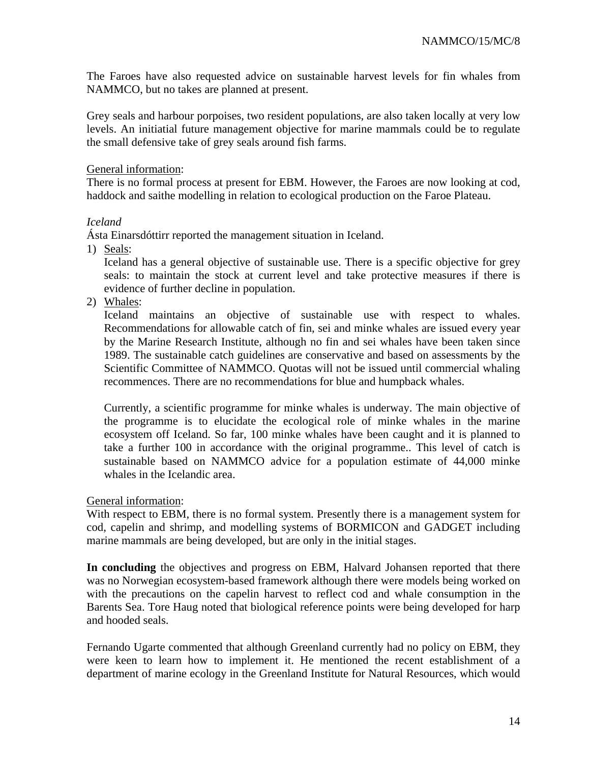The Faroes have also requested advice on sustainable harvest levels for fin whales from NAMMCO, but no takes are planned at present.

Grey seals and harbour porpoises, two resident populations, are also taken locally at very low levels. An initiatial future management objective for marine mammals could be to regulate the small defensive take of grey seals around fish farms.

#### General information:

There is no formal process at present for EBM. However, the Faroes are now looking at cod, haddock and saithe modelling in relation to ecological production on the Faroe Plateau.

#### *Iceland*

Ásta Einarsdóttirr reported the management situation in Iceland.

1) Seals:

Iceland has a general objective of sustainable use. There is a specific objective for grey seals: to maintain the stock at current level and take protective measures if there is evidence of further decline in population.

2) Whales:

Iceland maintains an objective of sustainable use with respect to whales. Recommendations for allowable catch of fin, sei and minke whales are issued every year by the Marine Research Institute, although no fin and sei whales have been taken since 1989. The sustainable catch guidelines are conservative and based on assessments by the Scientific Committee of NAMMCO. Quotas will not be issued until commercial whaling recommences. There are no recommendations for blue and humpback whales.

Currently, a scientific programme for minke whales is underway. The main objective of the programme is to elucidate the ecological role of minke whales in the marine ecosystem off Iceland. So far, 100 minke whales have been caught and it is planned to take a further 100 in accordance with the original programme.. This level of catch is sustainable based on NAMMCO advice for a population estimate of 44,000 minke whales in the Icelandic area.

#### General information:

With respect to EBM, there is no formal system. Presently there is a management system for cod, capelin and shrimp, and modelling systems of BORMICON and GADGET including marine mammals are being developed, but are only in the initial stages.

**In concluding** the objectives and progress on EBM, Halvard Johansen reported that there was no Norwegian ecosystem-based framework although there were models being worked on with the precautions on the capelin harvest to reflect cod and whale consumption in the Barents Sea. Tore Haug noted that biological reference points were being developed for harp and hooded seals.

Fernando Ugarte commented that although Greenland currently had no policy on EBM, they were keen to learn how to implement it. He mentioned the recent establishment of a department of marine ecology in the Greenland Institute for Natural Resources, which would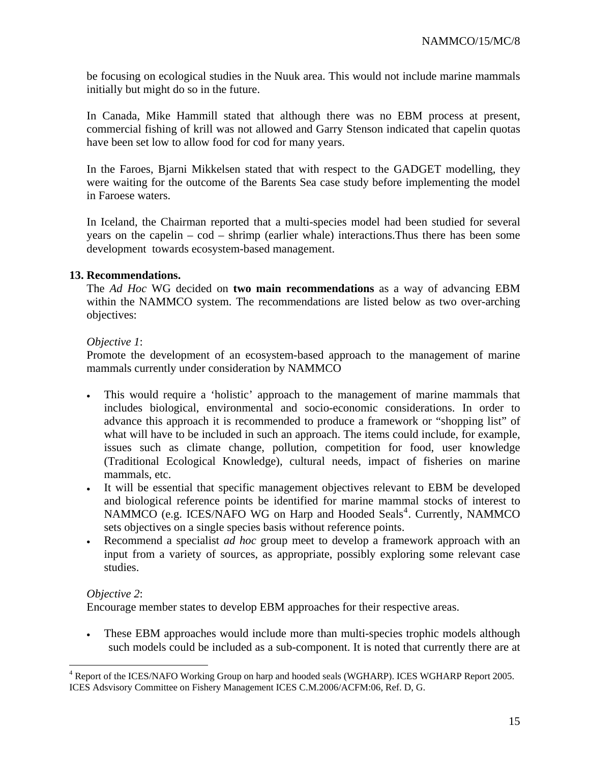be focusing on ecological studies in the Nuuk area. This would not include marine mammals initially but might do so in the future.

In Canada, Mike Hammill stated that although there was no EBM process at present, commercial fishing of krill was not allowed and Garry Stenson indicated that capelin quotas have been set low to allow food for cod for many years.

In the Faroes, Bjarni Mikkelsen stated that with respect to the GADGET modelling, they were waiting for the outcome of the Barents Sea case study before implementing the model in Faroese waters.

In Iceland, the Chairman reported that a multi-species model had been studied for several years on the capelin – cod – shrimp (earlier whale) interactions.Thus there has been some development towards ecosystem-based management.

## **13. Recommendations.**

The *Ad Hoc* WG decided on **two main recommendations** as a way of advancing EBM within the NAMMCO system. The recommendations are listed below as two over-arching objectives:

## *Objective 1*:

Promote the development of an ecosystem-based approach to the management of marine mammals currently under consideration by NAMMCO

- This would require a 'holistic' approach to the management of marine mammals that includes biological, environmental and socio-economic considerations. In order to advance this approach it is recommended to produce a framework or "shopping list" of what will have to be included in such an approach. The items could include, for example, issues such as climate change, pollution, competition for food, user knowledge (Traditional Ecological Knowledge), cultural needs, impact of fisheries on marine mammals, etc.
- It will be essential that specific management objectives relevant to EBM be developed and biological reference points be identified for marine mammal stocks of interest to NAMMCO (e.g. ICES/NAFO WG on Harp and Hooded Seals<sup>[4](#page-14-0)</sup>. Currently, NAMMCO sets objectives on a single species basis without reference points.
- Recommend a specialist *ad hoc* group meet to develop a framework approach with an input from a variety of sources, as appropriate, possibly exploring some relevant case studies.

#### *Objective 2*:

 $\overline{a}$ 

Encourage member states to develop EBM approaches for their respective areas.

• These EBM approaches would include more than multi-species trophic models although such models could be included as a sub-component. It is noted that currently there are at

<span id="page-14-0"></span><sup>&</sup>lt;sup>4</sup> Report of the ICES/NAFO Working Group on harp and hooded seals (WGHARP). ICES WGHARP Report 2005. ICES Adsvisory Committee on Fishery Management ICES C.M.2006/ACFM:06, Ref. D, G.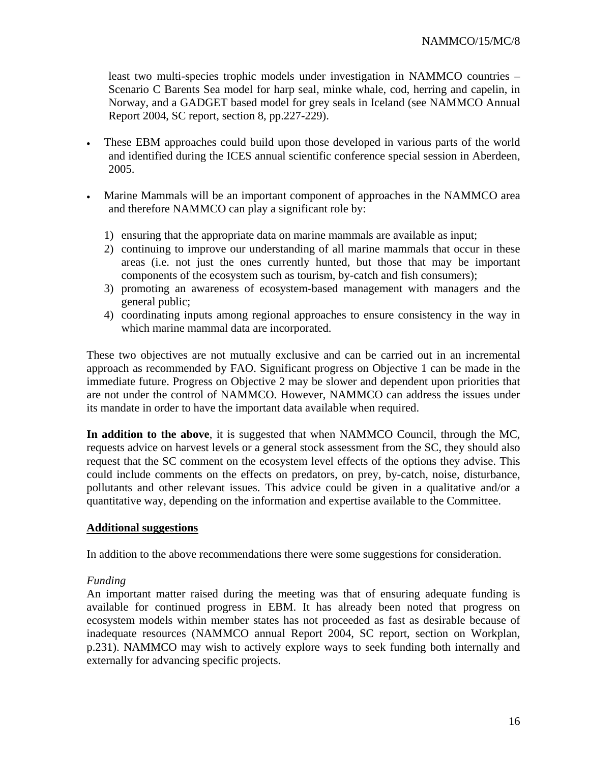least two multi-species trophic models under investigation in NAMMCO countries – Scenario C Barents Sea model for harp seal, minke whale, cod, herring and capelin, in Norway, and a GADGET based model for grey seals in Iceland (see NAMMCO Annual Report 2004, SC report, section 8, pp.227-229).

- These EBM approaches could build upon those developed in various parts of the world and identified during the ICES annual scientific conference special session in Aberdeen, 2005.
- Marine Mammals will be an important component of approaches in the NAMMCO area and therefore NAMMCO can play a significant role by:
	- 1) ensuring that the appropriate data on marine mammals are available as input;
	- 2) continuing to improve our understanding of all marine mammals that occur in these areas (i.e. not just the ones currently hunted, but those that may be important components of the ecosystem such as tourism, by-catch and fish consumers);
	- 3) promoting an awareness of ecosystem-based management with managers and the general public;
	- 4) coordinating inputs among regional approaches to ensure consistency in the way in which marine mammal data are incorporated.

These two objectives are not mutually exclusive and can be carried out in an incremental approach as recommended by FAO. Significant progress on Objective 1 can be made in the immediate future. Progress on Objective 2 may be slower and dependent upon priorities that are not under the control of NAMMCO. However, NAMMCO can address the issues under its mandate in order to have the important data available when required.

**In addition to the above**, it is suggested that when NAMMCO Council, through the MC, requests advice on harvest levels or a general stock assessment from the SC, they should also request that the SC comment on the ecosystem level effects of the options they advise. This could include comments on the effects on predators, on prey, by-catch, noise, disturbance, pollutants and other relevant issues. This advice could be given in a qualitative and/or a quantitative way, depending on the information and expertise available to the Committee.

#### **Additional suggestions**

In addition to the above recommendations there were some suggestions for consideration.

#### *Funding*

An important matter raised during the meeting was that of ensuring adequate funding is available for continued progress in EBM. It has already been noted that progress on ecosystem models within member states has not proceeded as fast as desirable because of inadequate resources (NAMMCO annual Report 2004, SC report, section on Workplan, p.231). NAMMCO may wish to actively explore ways to seek funding both internally and externally for advancing specific projects.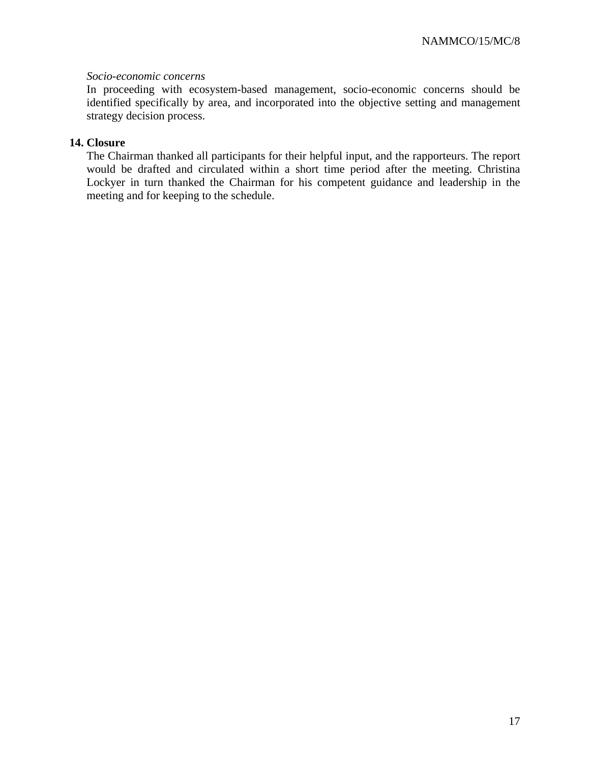#### *Socio-economic concerns*

In proceeding with ecosystem-based management, socio-economic concerns should be identified specifically by area, and incorporated into the objective setting and management strategy decision process.

## **14. Closure**

The Chairman thanked all participants for their helpful input, and the rapporteurs. The report would be drafted and circulated within a short time period after the meeting. Christina Lockyer in turn thanked the Chairman for his competent guidance and leadership in the meeting and for keeping to the schedule.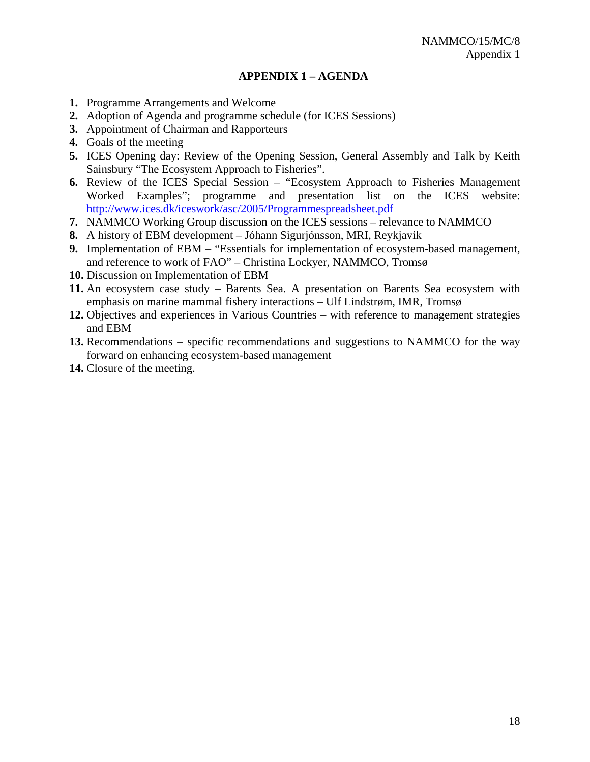## **APPENDIX 1 – AGENDA**

- **1.** Programme Arrangements and Welcome
- **2.** Adoption of Agenda and programme schedule (for ICES Sessions)
- **3.** Appointment of Chairman and Rapporteurs
- **4.** Goals of the meeting
- **5.** ICES Opening day: Review of the Opening Session, General Assembly and Talk by Keith Sainsbury "The Ecosystem Approach to Fisheries".
- **6.** Review of the ICES Special Session "Ecosystem Approach to Fisheries Management Worked Examples"; programme and presentation list on the ICES website: <http://www.ices.dk/iceswork/asc/2005/Programmespreadsheet.pdf>
- **7.** NAMMCO Working Group discussion on the ICES sessions relevance to NAMMCO
- **8.** A history of EBM development Jóhann Sigurjónsson, MRI, Reykjavik
- **9.** Implementation of EBM "Essentials for implementation of ecosystem-based management, and reference to work of FAO" – Christina Lockyer, NAMMCO, Tromsø
- **10.** Discussion on Implementation of EBM
- **11.** An ecosystem case study Barents Sea. A presentation on Barents Sea ecosystem with emphasis on marine mammal fishery interactions – Ulf Lindstrøm, IMR, Tromsø
- **12.** Objectives and experiences in Various Countries with reference to management strategies and EBM
- **13.** Recommendations specific recommendations and suggestions to NAMMCO for the way forward on enhancing ecosystem-based management
- **14.** Closure of the meeting.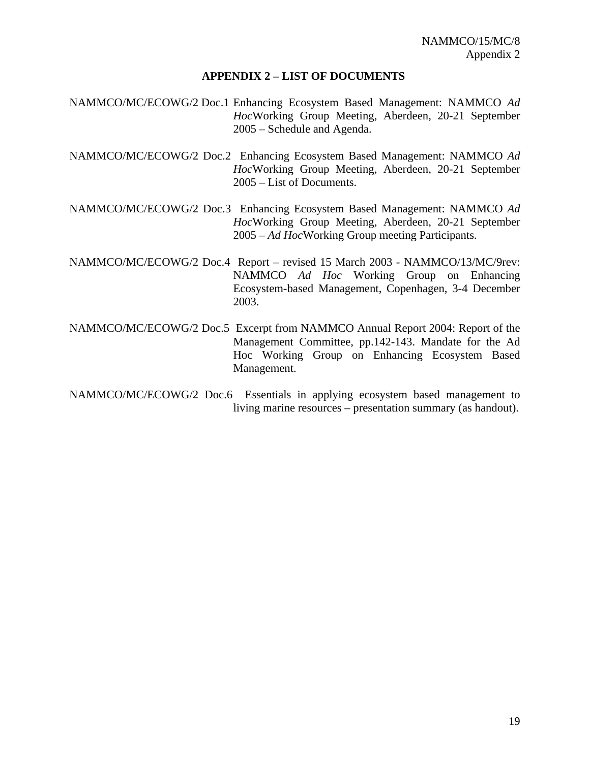#### **APPENDIX 2 – LIST OF DOCUMENTS**

- NAMMCO/MC/ECOWG/2 Doc.1 Enhancing Ecosystem Based Management: NAMMCO *Ad Hoc*Working Group Meeting, Aberdeen, 20-21 September 2005 – Schedule and Agenda.
- NAMMCO/MC/ECOWG/2 Doc.2 Enhancing Ecosystem Based Management: NAMMCO *Ad Hoc*Working Group Meeting, Aberdeen, 20-21 September 2005 – List of Documents.
- NAMMCO/MC/ECOWG/2 Doc.3 Enhancing Ecosystem Based Management: NAMMCO *Ad Hoc*Working Group Meeting, Aberdeen, 20-21 September 2005 – *Ad Hoc*Working Group meeting Participants.
- NAMMCO/MC/ECOWG/2 Doc.4 Report revised 15 March 2003 NAMMCO/13/MC/9rev: NAMMCO *Ad Hoc* Working Group on Enhancing Ecosystem-based Management, Copenhagen, 3-4 December 2003.
- NAMMCO/MC/ECOWG/2 Doc.5 Excerpt from NAMMCO Annual Report 2004: Report of the Management Committee, pp.142-143. Mandate for the Ad Hoc Working Group on Enhancing Ecosystem Based Management.
- NAMMCO/MC/ECOWG/2 Doc.6 Essentials in applying ecosystem based management to living marine resources – presentation summary (as handout).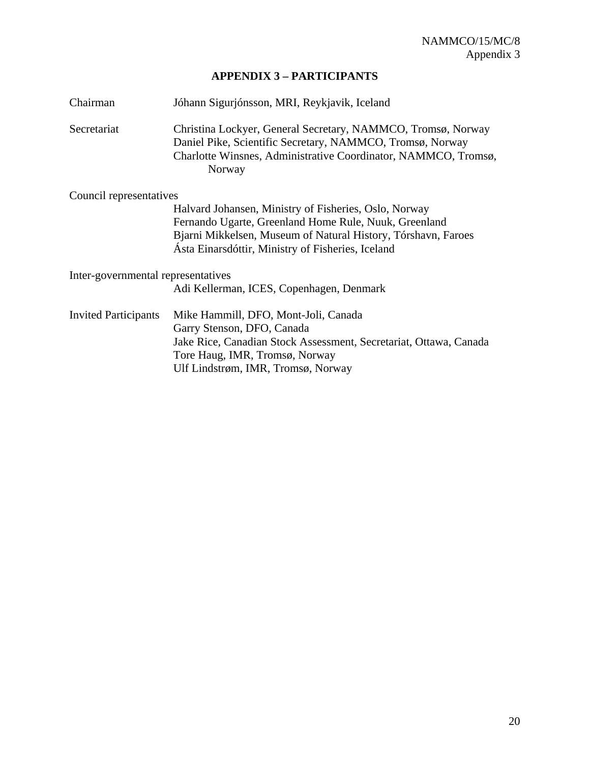# **APPENDIX 3 – PARTICIPANTS**

| Chairman                           | Jóhann Sigurjónsson, MRI, Reykjavik, Iceland                                                                                                                                                          |  |  |  |  |
|------------------------------------|-------------------------------------------------------------------------------------------------------------------------------------------------------------------------------------------------------|--|--|--|--|
| Secretariat                        | Christina Lockyer, General Secretary, NAMMCO, Tromsø, Norway<br>Daniel Pike, Scientific Secretary, NAMMCO, Tromsø, Norway<br>Charlotte Winsnes, Administrative Coordinator, NAMMCO, Tromsø,<br>Norway |  |  |  |  |
| Council representatives            |                                                                                                                                                                                                       |  |  |  |  |
|                                    | Halvard Johansen, Ministry of Fisheries, Oslo, Norway                                                                                                                                                 |  |  |  |  |
|                                    | Fernando Ugarte, Greenland Home Rule, Nuuk, Greenland                                                                                                                                                 |  |  |  |  |
|                                    | Bjarni Mikkelsen, Museum of Natural History, Tórshavn, Faroes<br>Asta Einarsdóttir, Ministry of Fisheries, Iceland                                                                                    |  |  |  |  |
| Inter-governmental representatives |                                                                                                                                                                                                       |  |  |  |  |
|                                    | Adi Kellerman, ICES, Copenhagen, Denmark                                                                                                                                                              |  |  |  |  |
| <b>Invited Participants</b>        | Mike Hammill, DFO, Mont-Joli, Canada                                                                                                                                                                  |  |  |  |  |
|                                    | Garry Stenson, DFO, Canada                                                                                                                                                                            |  |  |  |  |
|                                    | Jake Rice, Canadian Stock Assessment, Secretariat, Ottawa, Canada                                                                                                                                     |  |  |  |  |
|                                    | Tore Haug, IMR, Tromsø, Norway                                                                                                                                                                        |  |  |  |  |
|                                    | Ulf Lindstrøm, IMR, Tromsø, Norway                                                                                                                                                                    |  |  |  |  |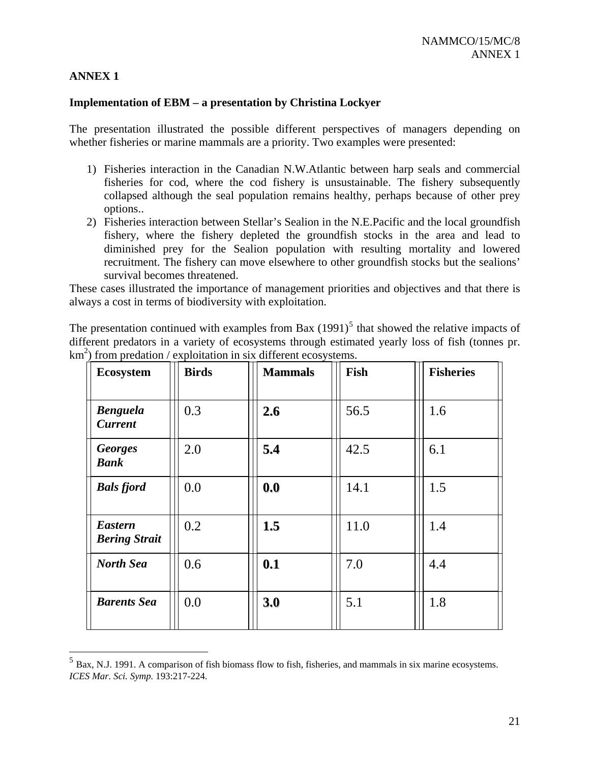## **ANNEX 1**

 $\overline{a}$ 

#### **Implementation of EBM – a presentation by Christina Lockyer**

The presentation illustrated the possible different perspectives of managers depending on whether fisheries or marine mammals are a priority. Two examples were presented:

- 1) Fisheries interaction in the Canadian N.W.Atlantic between harp seals and commercial fisheries for cod, where the cod fishery is unsustainable. The fishery subsequently collapsed although the seal population remains healthy, perhaps because of other prey options..
- 2) Fisheries interaction between Stellar's Sealion in the N.E.Pacific and the local groundfish fishery, where the fishery depleted the groundfish stocks in the area and lead to diminished prey for the Sealion population with resulting mortality and lowered recruitment. The fishery can move elsewhere to other groundfish stocks but the sealions' survival becomes threatened.

These cases illustrated the importance of management priorities and objectives and that there is always a cost in terms of biodiversity with exploitation.

The presentation continued with examples from Bax  $(1991)^5$  $(1991)^5$  that showed the relative impacts of different predators in a variety of ecosystems through estimated yearly loss of fish (tonnes pr.  $km<sup>2</sup>$ ) from predation / exploitation in six different ecosystems.

| <b>Ecosystem</b>                       | <b>Birds</b> | <b>Mammals</b> | Fish | <b>Fisheries</b> |
|----------------------------------------|--------------|----------------|------|------------------|
| <b>Benguela</b><br><b>Current</b>      | 0.3          | 2.6            | 56.5 | 1.6              |
| <b>Georges</b><br><b>Bank</b>          | 2.0          | 5.4            | 42.5 | 6.1              |
| <b>Bals fjord</b>                      | 0.0          | 0.0            | 14.1 | 1.5              |
| <b>Eastern</b><br><b>Bering Strait</b> | 0.2          | 1.5            | 11.0 | 1.4              |
| <b>North Sea</b>                       | 0.6          | 0.1            | 7.0  | 4.4              |
| <b>Barents Sea</b>                     | 0.0          | 3.0            | 5.1  | 1.8              |

<span id="page-20-0"></span><sup>5</sup> Bax, N.J. 1991. A comparison of fish biomass flow to fish, fisheries, and mammals in six marine ecosystems. *ICES Mar. Sci. Symp.* 193:217-224.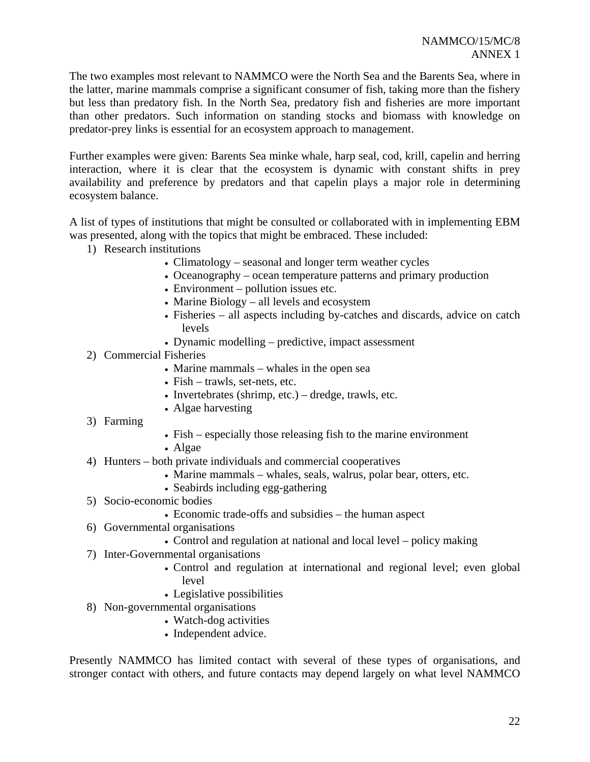The two examples most relevant to NAMMCO were the North Sea and the Barents Sea, where in the latter, marine mammals comprise a significant consumer of fish, taking more than the fishery but less than predatory fish. In the North Sea, predatory fish and fisheries are more important than other predators. Such information on standing stocks and biomass with knowledge on predator-prey links is essential for an ecosystem approach to management.

Further examples were given: Barents Sea minke whale, harp seal, cod, krill, capelin and herring interaction, where it is clear that the ecosystem is dynamic with constant shifts in prey availability and preference by predators and that capelin plays a major role in determining ecosystem balance.

A list of types of institutions that might be consulted or collaborated with in implementing EBM was presented, along with the topics that might be embraced. These included:

- 1) Research institutions
	- Climatology seasonal and longer term weather cycles
	- Oceanography ocean temperature patterns and primary production
	- Environment pollution issues etc.
	- Marine Biology all levels and ecosystem
	- Fisheries all aspects including by-catches and discards, advice on catch levels
	- Dynamic modelling predictive, impact assessment
- 2) Commercial Fisheries
	- Marine mammals whales in the open sea
	- Fish trawls, set-nets, etc.
	- Invertebrates (shrimp, etc.) dredge, trawls, etc.
	- Algae harvesting
- 3) Farming
- $\bullet$  Fish especially those releasing fish to the marine environment
- Algae
- 4) Hunters bo th private individuals and commercial cooperatives
	- Marine mammals whales, seals, walrus, polar bear, otters, etc.
	- Seabirds including egg-gathering
- 5) Socio-econo mic bodies
	- Economic trade-offs and subsidies the human aspect
- 6) Governmental organisations
	- Control and regulation at national and local level policy making
- 7) Inter-Governmental organisations
	- Control and regulation at international and regional level; even global level
	- Legislative possibilities
- 8) Non-governmental organisations
	- Watch-dog activities
	- Independent advice.

Presently NAMMCO has limited contact with several of these types of organisations, and stronger contact with others, and future contacts may depend largely on what level NAMMCO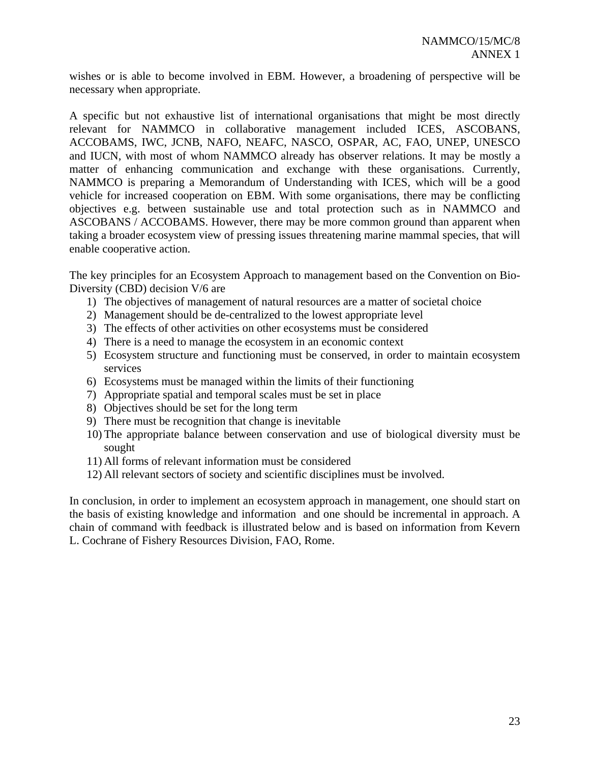wishes or is able to become involved in EBM. However, a broadening of perspective will be necessary when appropriate.

A specific but not exhaustive list of international organisations that might be most directly relevant for NAMMCO in collaborative management included ICES, ASCOBANS, ACCOBAMS, IWC, JCNB, NAFO, NEAFC, NASCO, OSPAR, AC, FAO, UNEP, UNESCO and IUCN, with most of whom NAMMCO already has observer relations. It may be mostly a matter of enhancing communication and exchange with these organisations. Currently, NAMMCO is preparing a Memorandum of Understanding with ICES, which will be a good vehicle for increased cooperation on EBM. With some organisations, there may be conflicting objectives e.g. between sustainable use and total protection such as in NAMMCO and ASCOBANS / ACCOBAMS. However, there may be more common ground than apparent when taking a broader ecosystem view of pressing issues threatening marine mammal species, that will enable cooperative action.

The key principles for an Ecosystem Approach to management based on the Convention on Bio-Diversity (CBD) decision V/6 are

- 1) The objectives of management of natural resources are a matter of societal choice
- 2) Management should be de-centralized to the lowest appropriate level
- 3) The effects of other activities on other ecosystems must be considered
- 4) There is a need to manage the ecosystem in an economic context
- 5) Ecosystem structure and functioning must be conserved, in order to maintain ecosystem services
- 6) Ecosystems must be managed within the limits of their functioning
- 7) Appropriate spatial and temporal scales must be set in place
- 8) Objectives should be set for the long term
- 9) There must be recognition that change is inevitable
- 10) The appropriate balance between conservation and use of biological diversity must be sought
- 11) All forms of relevant information must be considered
- 12) All relevant sectors of society and scientific disciplines must be involved.

In conclusion, in order to implement an ecosystem approach in management, one should start on the basis of existing knowledge and information and one should be incremental in approach. A chain of command with feedback is illustrated below and is based on information from Kevern L. Cochrane of Fishery Resources Division, FAO, Rome.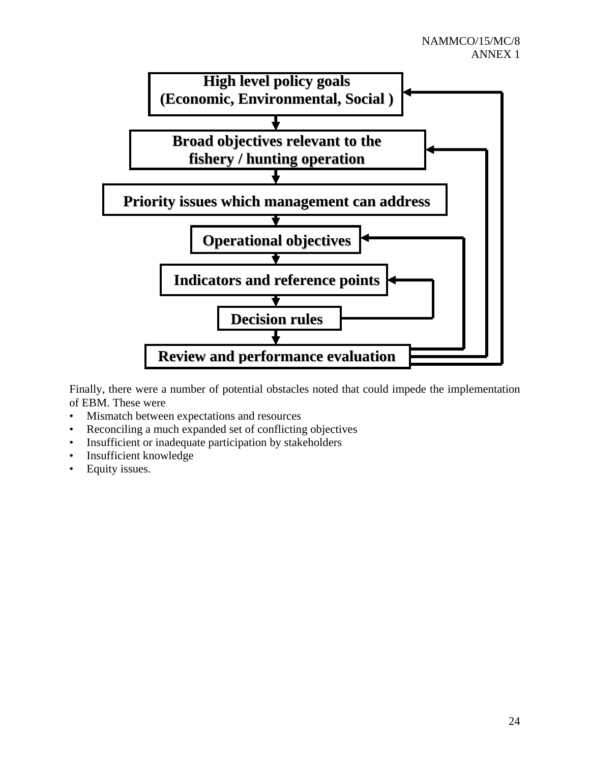

Finally, there were a number of potential obstacles noted that could impede the implementation of EBM. These were

- Mismatch between expectations and resources
- Reconciling a much expanded set of conflicting objectives
- Insufficient or inadequate participation by stakeholders
- Insufficient knowledge
- Equity issues.